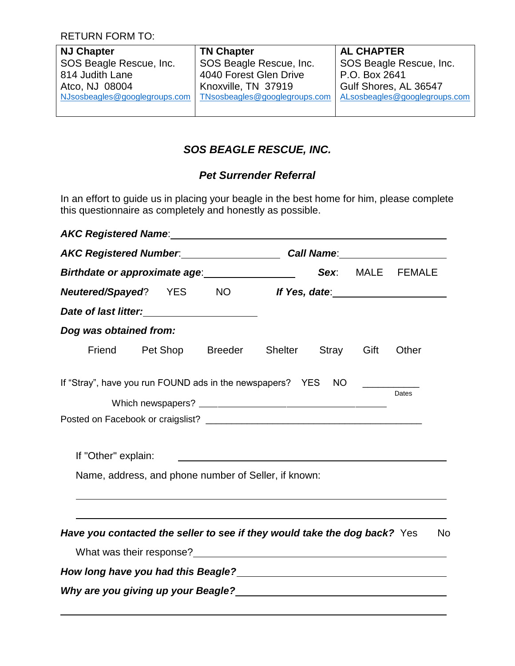RETURN FORM TO:

| <b>NJ Chapter</b>             | <b>TN Chapter</b>             | <b>AL CHAPTER</b>             |
|-------------------------------|-------------------------------|-------------------------------|
| SOS Beagle Rescue, Inc.       | SOS Beagle Rescue, Inc.       | SOS Beagle Rescue, Inc.       |
| 814 Judith Lane               | 4040 Forest Glen Drive        | P.O. Box 2641                 |
| Atco, NJ 08004                | Knoxville, TN 37919           | Gulf Shores, AL 36547         |
| NJsosbeagles@googlegroups.com | TNsosbeagles@googlegroups.com | ALsosbeagles@googlegroups.com |
|                               |                               |                               |

## *SOS BEAGLE RESCUE, INC.*

## *Pet Surrender Referral*

In an effort to guide us in placing your beagle in the best home for him, please complete this questionnaire as completely and honestly as possible.

| AKC Registered Name: Name: AKC Registered Name:                                                 |  |                                                      |  |                  |       |    |
|-------------------------------------------------------------------------------------------------|--|------------------------------------------------------|--|------------------|-------|----|
| AKC Registered Number. Call Name: Call Name:<br>Birthdate or approximate age: _________________ |  |                                                      |  |                  |       |    |
|                                                                                                 |  |                                                      |  | Sex: MALE FEMALE |       |    |
| <b>Neutered/Spayed?</b> YES NO                                                                  |  |                                                      |  |                  |       |    |
|                                                                                                 |  |                                                      |  |                  |       |    |
| Dog was obtained from:                                                                          |  |                                                      |  |                  |       |    |
|                                                                                                 |  | Friend Pet Shop Breeder Shelter Stray                |  | Gift             | Other |    |
| If "Stray", have you run FOUND ads in the newspapers? YES NO                                    |  |                                                      |  |                  | Dates |    |
| If "Other" explain:                                                                             |  | Name, address, and phone number of Seller, if known: |  |                  |       |    |
| Have you contacted the seller to see if they would take the dog back? Yes                       |  |                                                      |  |                  |       | No |
| Why are you giving up your Beagle?<br>Why are you giving up your Beagle?                        |  |                                                      |  |                  |       |    |
|                                                                                                 |  |                                                      |  |                  |       |    |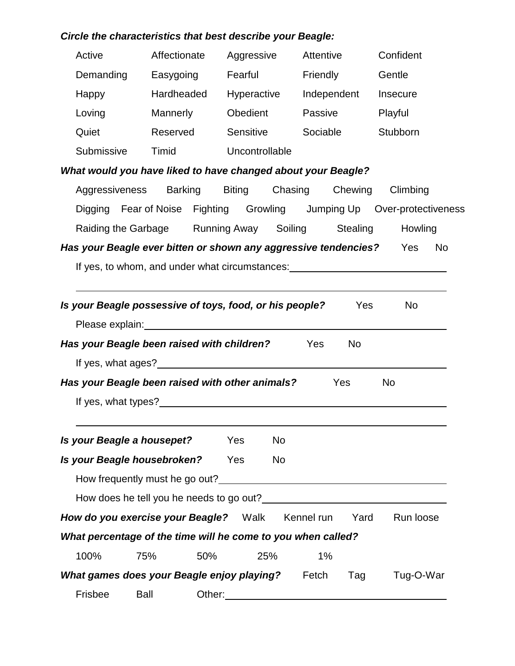## *Circle the characteristics that best describe your Beagle:*

| Active                                                              | Affectionate   | Aggressive                                                                                                                                                                                                                             | Attentive          | Confident                                                                        |
|---------------------------------------------------------------------|----------------|----------------------------------------------------------------------------------------------------------------------------------------------------------------------------------------------------------------------------------------|--------------------|----------------------------------------------------------------------------------|
| Demanding                                                           | Easygoing      | Fearful                                                                                                                                                                                                                                | Friendly           | Gentle                                                                           |
| Happy                                                               |                | Hardheaded Hyperactive Independent                                                                                                                                                                                                     |                    | Insecure                                                                         |
| Loving                                                              | Mannerly       | Obedient                                                                                                                                                                                                                               | Passive            | Playful                                                                          |
| Quiet                                                               | Reserved       | Sensitive                                                                                                                                                                                                                              | Sociable           | Stubborn                                                                         |
| Submissive                                                          | Timid          | Uncontrollable                                                                                                                                                                                                                         |                    |                                                                                  |
| What would you have liked to have changed about your Beagle?        |                |                                                                                                                                                                                                                                        |                    |                                                                                  |
|                                                                     |                | Aggressiveness Barking Biting Chasing Chewing Climbing                                                                                                                                                                                 |                    |                                                                                  |
|                                                                     |                |                                                                                                                                                                                                                                        |                    | Digging Fear of Noise Fighting Growling Jumping Up Over-protectiveness           |
|                                                                     |                | Raiding the Garbage Running Away Soiling Stealing                                                                                                                                                                                      |                    | Howling                                                                          |
| Has your Beagle ever bitten or shown any aggressive tendencies? Yes |                |                                                                                                                                                                                                                                        |                    | <b>No</b>                                                                        |
|                                                                     |                |                                                                                                                                                                                                                                        |                    | If yes, to whom, and under what circumstances: _________________________________ |
|                                                                     |                |                                                                                                                                                                                                                                        |                    |                                                                                  |
| Is your Beagle possessive of toys, food, or his people?             |                |                                                                                                                                                                                                                                        | Yes                | <b>No</b>                                                                        |
|                                                                     |                | Please explain: Note and the set of the set of the set of the set of the set of the set of the set of the set of the set of the set of the set of the set of the set of the set of the set of the set of the set of the set of         |                    |                                                                                  |
| Has your Beagle been raised with children?                          |                |                                                                                                                                                                                                                                        | Yes<br><b>No</b>   |                                                                                  |
|                                                                     |                |                                                                                                                                                                                                                                        |                    |                                                                                  |
| Has your Beagle been raised with other animals?                     |                |                                                                                                                                                                                                                                        | <b>Yes</b>         | <b>No</b>                                                                        |
|                                                                     |                | If yes, what types?<br><u>If</u> yes, what types?                                                                                                                                                                                      |                    |                                                                                  |
|                                                                     |                |                                                                                                                                                                                                                                        |                    |                                                                                  |
| Is your Beagle a housepet?                                          |                | Yes<br><b>No</b>                                                                                                                                                                                                                       |                    |                                                                                  |
| Is your Beagle housebroken?                                         |                | <b>Yes</b><br>No                                                                                                                                                                                                                       |                    |                                                                                  |
|                                                                     |                | How frequently must he go out?<br><u>Letter and the set of the set of the set of the set of the set of the set of the set of the set of the set of the set of the set of the set of the set of the set of the set of the set of th</u> |                    |                                                                                  |
|                                                                     |                |                                                                                                                                                                                                                                        |                    |                                                                                  |
| How do you exercise your Beagle? Walk                               |                |                                                                                                                                                                                                                                        | Kennel run<br>Yard | Run loose                                                                        |
| What percentage of the time will he come to you when called?        |                |                                                                                                                                                                                                                                        |                    |                                                                                  |
| 100%                                                                | 75%<br>50%     | 25%                                                                                                                                                                                                                                    | 1%                 |                                                                                  |
| <b>What games does your Beagle enjoy playing?</b> Fetch             |                |                                                                                                                                                                                                                                        | Tag                | Tug-O-War                                                                        |
| Frisbee                                                             | Ball<br>Other: |                                                                                                                                                                                                                                        |                    |                                                                                  |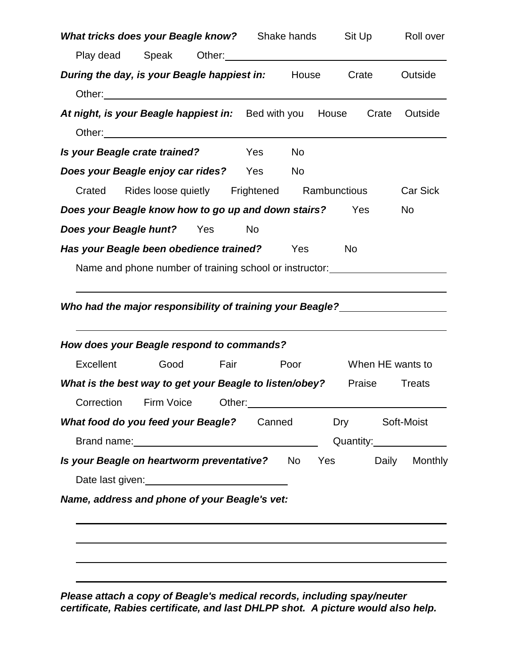| <b>What tricks does your Beagle know?</b> Shake hands Sit Up Roll over                                                                                                                                                         |  |    |    |           |                  |                          |
|--------------------------------------------------------------------------------------------------------------------------------------------------------------------------------------------------------------------------------|--|----|----|-----------|------------------|--------------------------|
| Play dead Speak Other: 0.11 Chemical Chemical Speak Other:                                                                                                                                                                     |  |    |    |           |                  |                          |
| <b>During the day, is your Beagle happiest in:</b> House Crate                                                                                                                                                                 |  |    |    |           |                  | Outside                  |
| Other: University of the Commission of the Commission of the Commission of the Commission of the Commission of the Commission of the Commission of the Commission of the Commission of the Commission of the Commission of the |  |    |    |           |                  |                          |
| At night, is your Beagle happiest in: Bed with you House Crate Outside                                                                                                                                                         |  |    |    |           |                  |                          |
|                                                                                                                                                                                                                                |  |    |    |           |                  |                          |
| Is your Beagle crate trained? Yes                                                                                                                                                                                              |  |    | No |           |                  |                          |
| Does your Beagle enjoy car rides? Yes No                                                                                                                                                                                       |  |    |    |           |                  |                          |
| Crated Rides loose quietly Frightened Rambunctious                                                                                                                                                                             |  |    |    |           |                  | <b>Car Sick</b>          |
| <b>Does your Beagle know how to go up and down stairs?</b> Yes                                                                                                                                                                 |  |    |    |           |                  | No                       |
| <b>Does your Beagle hunt?</b> Yes                                                                                                                                                                                              |  | No |    |           |                  |                          |
| Has your Beagle been obedience trained? Yes                                                                                                                                                                                    |  |    |    | <b>No</b> |                  |                          |
| Name and phone number of training school or instructor: ________________________                                                                                                                                               |  |    |    |           |                  |                          |
|                                                                                                                                                                                                                                |  |    |    |           |                  |                          |
| How does your Beagle respond to commands?                                                                                                                                                                                      |  |    |    |           |                  |                          |
| Excellent Good Fair Poor                                                                                                                                                                                                       |  |    |    |           | When HE wants to |                          |
| What is the best way to get your Beagle to listen/obey? Praise Treats                                                                                                                                                          |  |    |    |           |                  |                          |
| Correction Firm Voice Other: 2000 011 Correction                                                                                                                                                                               |  |    |    |           |                  |                          |
| <b>What food do you feed your Beagle?</b> Canned Dry Soft-Moist                                                                                                                                                                |  |    |    |           |                  |                          |
|                                                                                                                                                                                                                                |  |    |    |           |                  | Quantity:_______________ |
| Is your Beagle on heartworm preventative? No Yes Daily Monthly                                                                                                                                                                 |  |    |    |           |                  |                          |
| Date last given:<br><u>Date last given:</u>                                                                                                                                                                                    |  |    |    |           |                  |                          |
| Name, address and phone of your Beagle's vet:                                                                                                                                                                                  |  |    |    |           |                  |                          |
|                                                                                                                                                                                                                                |  |    |    |           |                  |                          |
|                                                                                                                                                                                                                                |  |    |    |           |                  |                          |
|                                                                                                                                                                                                                                |  |    |    |           |                  |                          |

*Please attach a copy of Beagle's medical records, including spay/neuter certificate, Rabies certificate, and last DHLPP shot. A picture would also help.*